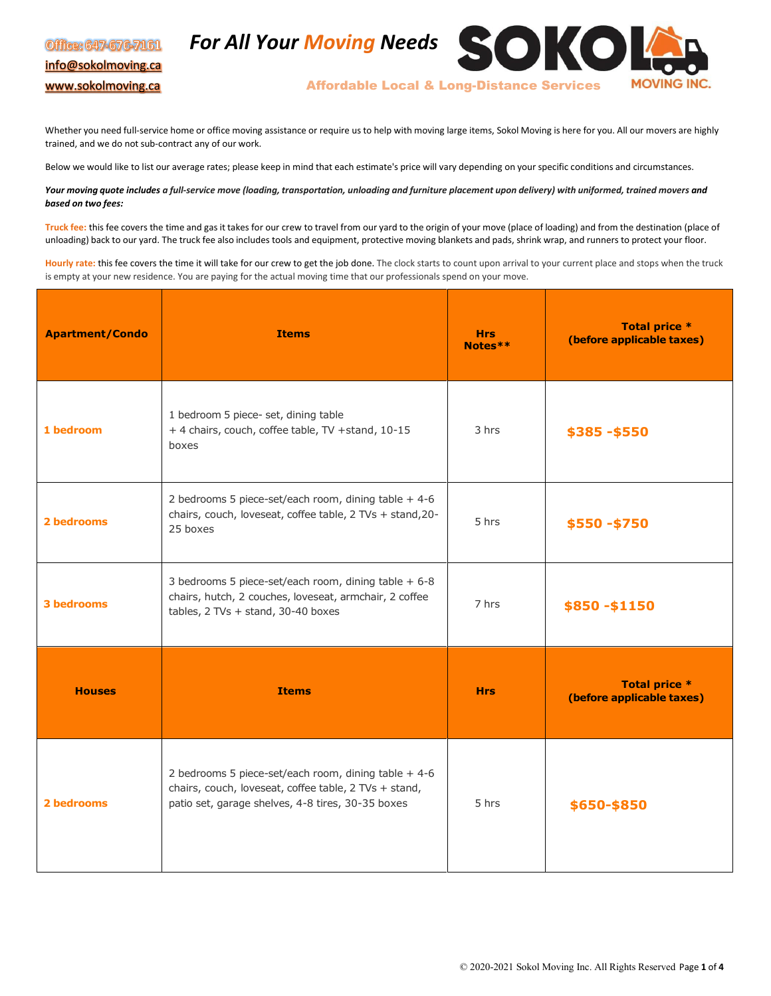## Office: 647-676-7161 [info@sokolmoving.ca](mailto:info@sokolmoving.ca) [www.sokolmoving.ca](http://www.sokolmoving.ca/)





Affordable Local & Long-Distance Services

Whether you need full-service home or office moving assistance or require us to help with moving large items, Sokol Moving is here for you. All our movers are highly trained, and we do not sub-contract any of our work.

Below we would like to list our average rates; please keep in mind that each estimate's price will vary depending on your specific conditions and circumstances.

Your moving quote includes a full-service move (loading, transportation, unloading and furniture placement upon delivery) with uniformed, trained movers and *based on two fees:*

**Truck fee:** this fee covers the time and gas it takes for our crew to travel from our yard to the origin of your move (place of loading) and from the destination (place of unloading) back to our yard. The truck fee also includes tools and equipment, protective moving blankets and pads, shrink wrap, and runners to protect your floor.

**Hourly rate:** this fee covers the time it will take for our crew to get the job done. The clock starts to count upon arrival to your current place and stops when the truck is empty at your new residence. You are paying for the actual moving time that our professionals spend on your move.

| <b>Apartment/Condo</b> | <b>Items</b>                                                                                                                                                        | <b>Hrs</b><br>Notes** | <b>Total price *</b><br>(before applicable taxes) |
|------------------------|---------------------------------------------------------------------------------------------------------------------------------------------------------------------|-----------------------|---------------------------------------------------|
| 1 bedroom              | 1 bedroom 5 piece- set, dining table<br>+ 4 chairs, couch, coffee table, TV + stand, 10-15<br>boxes                                                                 | 3 hrs                 | \$385-\$550                                       |
| 2 bedrooms             | 2 bedrooms 5 piece-set/each room, dining table $+4-6$<br>chairs, couch, loveseat, coffee table, 2 TVs + stand, 20-<br>25 boxes                                      | 5 hrs                 | \$550-\$750                                       |
| 3 bedrooms             | 3 bedrooms 5 piece-set/each room, dining table + 6-8<br>chairs, hutch, 2 couches, loveseat, armchair, 2 coffee<br>tables, $2$ TVs + stand, $30-40$ boxes            | 7 hrs                 | \$850-\$1150                                      |
| <b>Houses</b>          | <b>Items</b>                                                                                                                                                        | <b>Hrs</b>            | <b>Total price *</b><br>(before applicable taxes) |
| 2 bedrooms             | 2 bedrooms 5 piece-set/each room, dining table $+4-6$<br>chairs, couch, loveseat, coffee table, 2 TVs + stand,<br>patio set, garage shelves, 4-8 tires, 30-35 boxes | 5 hrs                 | \$650-\$850                                       |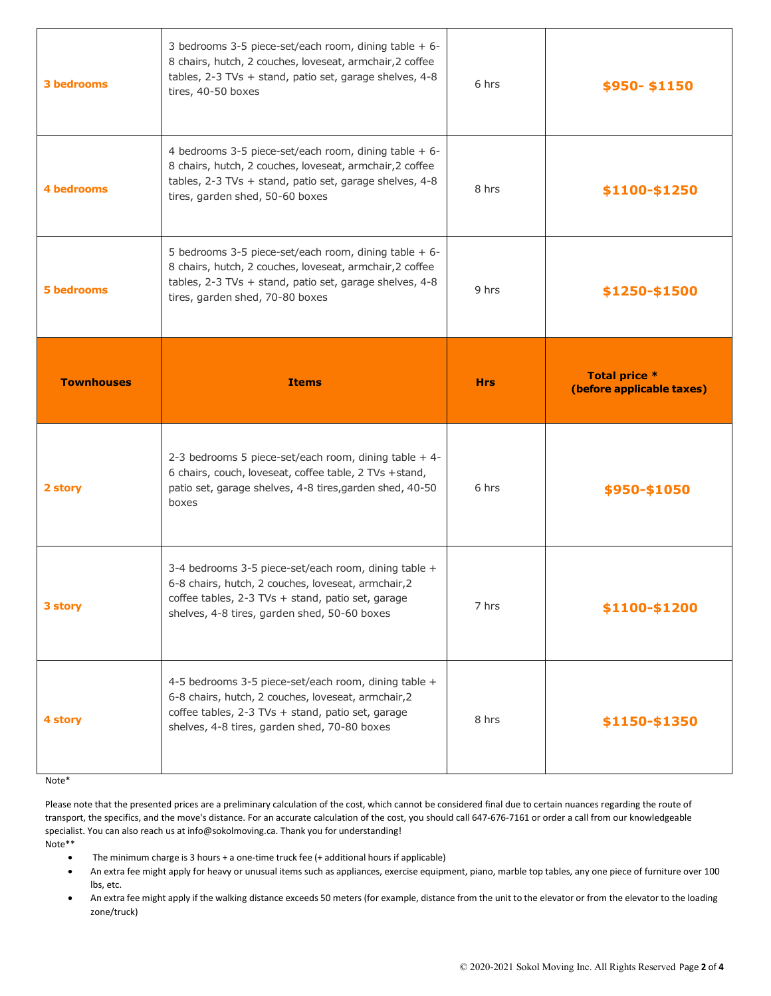| <b>3 bedrooms</b> | 3 bedrooms 3-5 piece-set/each room, dining table + 6-<br>8 chairs, hutch, 2 couches, loveseat, armchair, 2 coffee<br>tables, 2-3 TVs + stand, patio set, garage shelves, 4-8<br>tires, 40-50 boxes               | 6 hrs      | \$950-\$1150                                      |
|-------------------|------------------------------------------------------------------------------------------------------------------------------------------------------------------------------------------------------------------|------------|---------------------------------------------------|
| <b>4 bedrooms</b> | 4 bedrooms 3-5 piece-set/each room, dining table + 6-<br>8 chairs, hutch, 2 couches, loveseat, armchair, 2 coffee<br>tables, 2-3 TVs + stand, patio set, garage shelves, 4-8<br>tires, garden shed, 50-60 boxes  | 8 hrs      | \$1100-\$1250                                     |
| <b>5 bedrooms</b> | 5 bedrooms 3-5 piece-set/each room, dining table + 6-<br>8 chairs, hutch, 2 couches, loveseat, armchair, 2 coffee<br>tables, 2-3 TVs + stand, patio set, garage shelves, 4-8<br>tires, garden shed, 70-80 boxes  | 9 hrs      | \$1250-\$1500                                     |
| <b>Townhouses</b> | <b>Items</b>                                                                                                                                                                                                     | <b>Hrs</b> | <b>Total price *</b><br>(before applicable taxes) |
|                   |                                                                                                                                                                                                                  |            |                                                   |
| 2 story           | 2-3 bedrooms 5 piece-set/each room, dining table + 4-<br>6 chairs, couch, loveseat, coffee table, 2 TVs +stand,<br>patio set, garage shelves, 4-8 tires, garden shed, 40-50<br>boxes                             | 6 hrs      | \$950-\$1050                                      |
| 3 story           | 3-4 bedrooms 3-5 piece-set/each room, dining table +<br>6-8 chairs, hutch, 2 couches, loveseat, armchair, 2<br>coffee tables, 2-3 TVs + stand, patio set, garage<br>shelves, 4-8 tires, garden shed, 50-60 boxes | 7 hrs      | \$1100-\$1200                                     |

## Note\*

Please note that the presented prices are a preliminary calculation of the cost, which cannot be considered final due to certain nuances regarding the route of transport, the specifics, and the move's distance. For an accurate calculation of the cost, you should call 647-676-7161 or order a call from our knowledgeable specialist. You can also reach us a[t info@sokolmoving.ca. T](mailto:info@sokolmoving.ca)hank you for understanding! Note\*\*

- The minimum charge is 3 hours + a one-time truck fee (+ additional hours if applicable)
- An extra fee might apply for heavy or unusual items such as appliances, exercise equipment, piano, marble top tables, any one piece of furniture over 100 lbs, etc.
- An extra fee might apply if the walking distance exceeds 50 meters (for example, distance from the unit to the elevator or from the elevator to the loading zone/truck)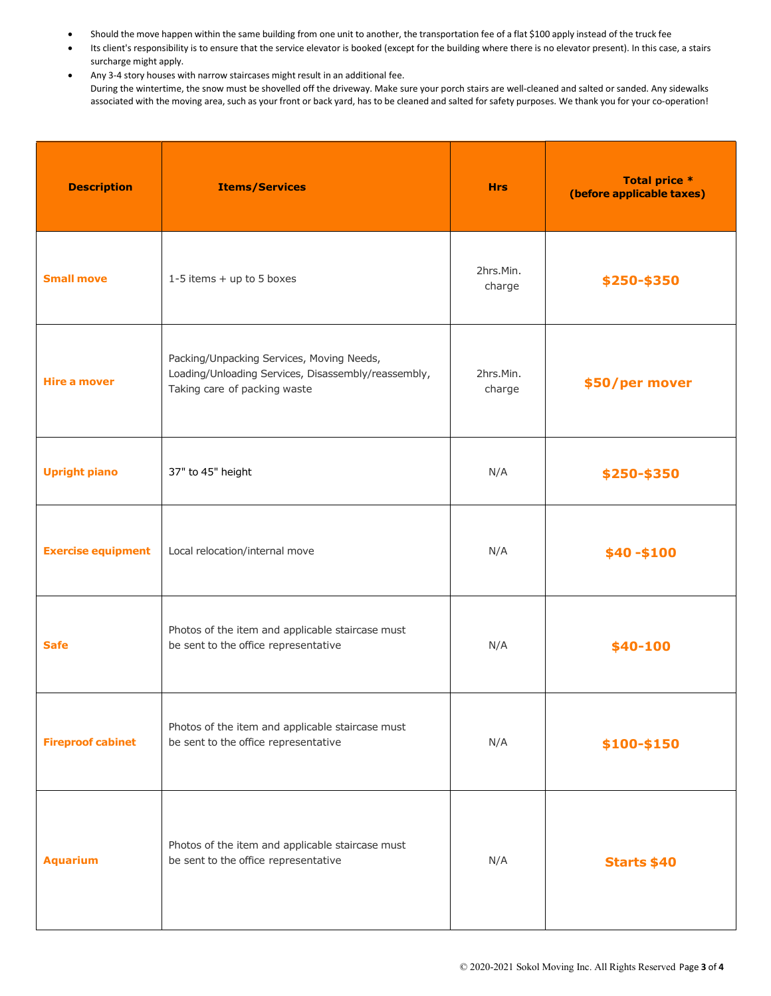- Should the move happen within the same building from one unit to another, the transportation fee of a flat \$100 apply instead of the truck fee
- Its client's responsibility is to ensure that the service elevator is booked (except for the building where there is no elevator present). In this case, a stairs surcharge might apply.
- Any 3-4 story houses with narrow staircases might result in an additional fee. During the wintertime, the snow must be shovelled off the driveway. Make sure your porch stairs are well-cleaned and salted or sanded. Any sidewalks associated with the moving area, such as your front or back yard, has to be cleaned and salted for safety purposes. We thank you for your co-operation!

| <b>Description</b>        | <b>Items/Services</b>                                                                                                            | <b>Hrs</b>          | <b>Total price *</b><br>(before applicable taxes) |
|---------------------------|----------------------------------------------------------------------------------------------------------------------------------|---------------------|---------------------------------------------------|
| <b>Small move</b>         | 1-5 items + up to 5 boxes                                                                                                        | 2hrs.Min.<br>charge | \$250-\$350                                       |
| Hire a mover              | Packing/Unpacking Services, Moving Needs,<br>Loading/Unloading Services, Disassembly/reassembly,<br>Taking care of packing waste | 2hrs.Min.<br>charge | \$50/per mover                                    |
| <b>Upright piano</b>      | 37" to 45" height                                                                                                                | N/A                 | \$250-\$350                                       |
| <b>Exercise equipment</b> | Local relocation/internal move                                                                                                   | N/A                 | $$40 - $100$                                      |
| <b>Safe</b>               | Photos of the item and applicable staircase must<br>be sent to the office representative                                         | N/A                 | \$40-100                                          |
| <b>Fireproof cabinet</b>  | Photos of the item and applicable staircase must<br>be sent to the office representative                                         | N/A                 | \$100-\$150                                       |
| <b>Aquarium</b>           | Photos of the item and applicable staircase must<br>be sent to the office representative                                         | N/A                 | <b>Starts \$40</b>                                |